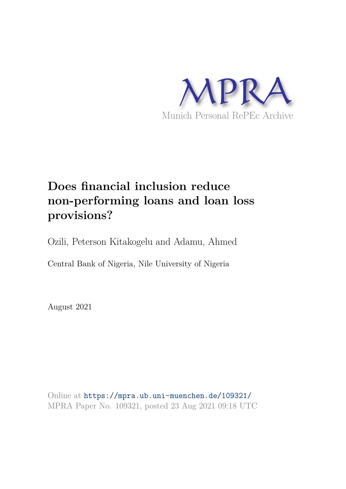

# **Does financial inclusion reduce non-performing loans and loan loss provisions?**

Ozili, Peterson Kitakogelu and Adamu, Ahmed

Central Bank of Nigeria, Nile University of Nigeria

August 2021

Online at https://mpra.ub.uni-muenchen.de/109321/ MPRA Paper No. 109321, posted 23 Aug 2021 09:18 UTC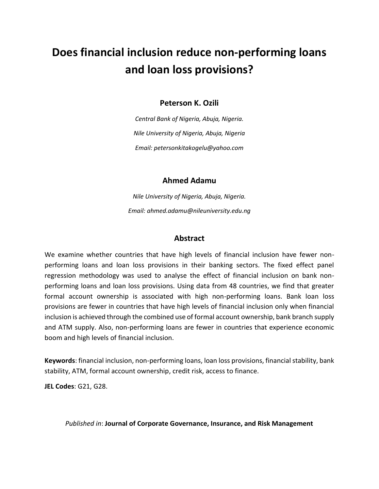# **Does financial inclusion reduce non-performing loans and loan loss provisions?**

## **Peterson K. Ozili**

*Central Bank of Nigeria, Abuja, Nigeria. Nile University of Nigeria, Abuja, Nigeria Email: petersonkitakogelu@yahoo.com* 

## **Ahmed Adamu**

*Nile University of Nigeria, Abuja, Nigeria. Email: ahmed.adamu@nileuniversity.edu.ng* 

## **Abstract**

We examine whether countries that have high levels of financial inclusion have fewer nonperforming loans and loan loss provisions in their banking sectors. The fixed effect panel regression methodology was used to analyse the effect of financial inclusion on bank nonperforming loans and loan loss provisions. Using data from 48 countries, we find that greater formal account ownership is associated with high non-performing loans. Bank loan loss provisions are fewer in countries that have high levels of financial inclusion only when financial inclusion is achieved through the combined use of formal account ownership, bank branch supply and ATM supply. Also, non-performing loans are fewer in countries that experience economic boom and high levels of financial inclusion.

**Keywords**: financial inclusion, non-performing loans, loan loss provisions, financial stability, bank stability, ATM, formal account ownership, credit risk, access to finance.

**JEL Codes**: G21, G28.

#### *Published in*: **Journal of Corporate Governance, Insurance, and Risk Management**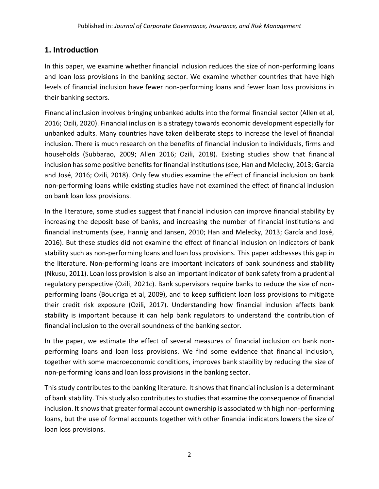# **1. Introduction**

In this paper, we examine whether financial inclusion reduces the size of non-performing loans and loan loss provisions in the banking sector. We examine whether countries that have high levels of financial inclusion have fewer non-performing loans and fewer loan loss provisions in their banking sectors.

Financial inclusion involves bringing unbanked adults into the formal financial sector (Allen et al, 2016; Ozili, 2020). Financial inclusion is a strategy towards economic development especially for unbanked adults. Many countries have taken deliberate steps to increase the level of financial inclusion. There is much research on the benefits of financial inclusion to individuals, firms and households (Subbarao, 2009; Allen 2016; Ozili, 2018). Existing studies show that financial inclusion has some positive benefits for financial institutions (see, Han and Melecky, 2013; García and José, 2016; Ozili, 2018). Only few studies examine the effect of financial inclusion on bank non-performing loans while existing studies have not examined the effect of financial inclusion on bank loan loss provisions.

In the literature, some studies suggest that financial inclusion can improve financial stability by increasing the deposit base of banks, and increasing the number of financial institutions and financial instruments (see, Hannig and Jansen, 2010; Han and Melecky, 2013; García and José, 2016). But these studies did not examine the effect of financial inclusion on indicators of bank stability such as non-performing loans and loan loss provisions. This paper addresses this gap in the literature. Non-performing loans are important indicators of bank soundness and stability (Nkusu, 2011). Loan loss provision is also an important indicator of bank safety from a prudential regulatory perspective (Ozili, 2021c). Bank supervisors require banks to reduce the size of nonperforming loans (Boudriga et al, 2009), and to keep sufficient loan loss provisions to mitigate their credit risk exposure (Ozili, 2017). Understanding how financial inclusion affects bank stability is important because it can help bank regulators to understand the contribution of financial inclusion to the overall soundness of the banking sector.

In the paper, we estimate the effect of several measures of financial inclusion on bank nonperforming loans and loan loss provisions. We find some evidence that financial inclusion, together with some macroeconomic conditions, improves bank stability by reducing the size of non-performing loans and loan loss provisions in the banking sector.

This study contributes to the banking literature. It shows that financial inclusion is a determinant of bank stability. This study also contributes to studies that examine the consequence of financial inclusion. It shows that greater formal account ownership is associated with high non-performing loans, but the use of formal accounts together with other financial indicators lowers the size of loan loss provisions.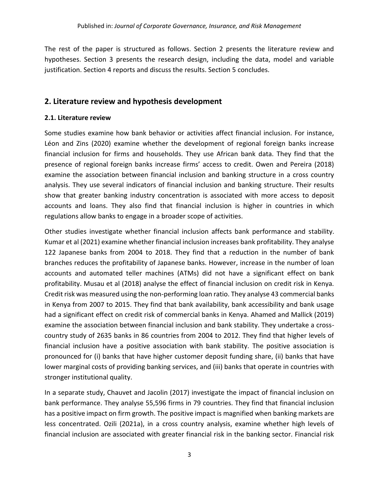The rest of the paper is structured as follows. Section 2 presents the literature review and hypotheses. Section 3 presents the research design, including the data, model and variable justification. Section 4 reports and discuss the results. Section 5 concludes.

# **2. Literature review and hypothesis development**

#### **2.1. Literature review**

Some studies examine how bank behavior or activities affect financial inclusion. For instance, Léon and Zins (2020) examine whether the development of regional foreign banks increase financial inclusion for firms and households. They use African bank data. They find that the presence of regional foreign banks increase firms' access to credit. Owen and Pereira (2018) examine the association between financial inclusion and banking structure in a cross country analysis. They use several indicators of financial inclusion and banking structure. Their results show that greater banking industry concentration is associated with more access to deposit accounts and loans. They also find that financial inclusion is higher in countries in which regulations allow banks to engage in a broader scope of activities.

Other studies investigate whether financial inclusion affects bank performance and stability. Kumar et al (2021) examine whether financial inclusion increases bank profitability. They analyse 122 Japanese banks from 2004 to 2018. They find that a reduction in the number of bank branches reduces the profitability of Japanese banks. However, increase in the number of loan accounts and automated teller machines (ATMs) did not have a significant effect on bank profitability. Musau et al (2018) analyse the effect of financial inclusion on credit risk in Kenya. Credit risk was measured using the non-performing loan ratio. They analyse 43 commercial banks in Kenya from 2007 to 2015. They find that bank availability, bank accessibility and bank usage had a significant effect on credit risk of commercial banks in Kenya. Ahamed and Mallick (2019) examine the association between financial inclusion and bank stability. They undertake a crosscountry study of 2635 banks in 86 countries from 2004 to 2012. They find that higher levels of financial inclusion have a positive association with bank stability. The positive association is pronounced for (i) banks that have higher customer deposit funding share, (ii) banks that have lower marginal costs of providing banking services, and (iii) banks that operate in countries with stronger institutional quality.

In a separate study, Chauvet and Jacolin (2017) investigate the impact of financial inclusion on bank performance. They analyse 55,596 firms in 79 countries. They find that financial inclusion has a positive impact on firm growth. The positive impact is magnified when banking markets are less concentrated. Ozili (2021a), in a cross country analysis, examine whether high levels of financial inclusion are associated with greater financial risk in the banking sector. Financial risk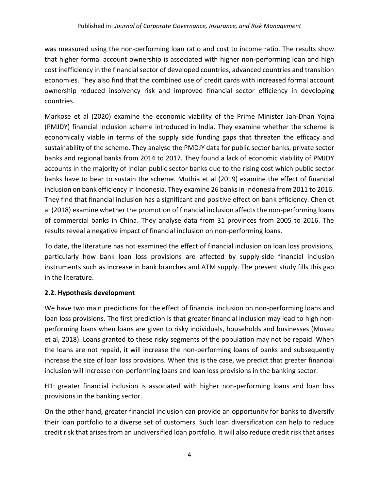was measured using the non-performing loan ratio and cost to income ratio. The results show that higher formal account ownership is associated with higher non-performing loan and high cost inefficiency in the financial sector of developed countries, advanced countries and transition economies. They also find that the combined use of credit cards with increased formal account ownership reduced insolvency risk and improved financial sector efficiency in developing countries.

Markose et al (2020) examine the economic viability of the Prime Minister Jan-Dhan Yojna (PMJDY) financial inclusion scheme introduced in India. They examine whether the scheme is economically viable in terms of the supply side funding gaps that threaten the efficacy and sustainability of the scheme. They analyse the PMDJY data for public sector banks, private sector banks and regional banks from 2014 to 2017. They found a lack of economic viability of PMJDY accounts in the majority of Indian public sector banks due to the rising cost which public sector banks have to bear to sustain the scheme. Muthia et al (2019) examine the effect of financial inclusion on bank efficiency in Indonesia. They examine 26 banks in Indonesia from 2011 to 2016. They find that financial inclusion has a significant and positive effect on bank efficiency. Chen et al (2018) examine whether the promotion of financial inclusion affects the non-performing loans of commercial banks in China. They analyse data from 31 provinces from 2005 to 2016. The results reveal a negative impact of financial inclusion on non-performing loans.

To date, the literature has not examined the effect of financial inclusion on loan loss provisions, particularly how bank loan loss provisions are affected by supply-side financial inclusion instruments such as increase in bank branches and ATM supply. The present study fills this gap in the literature.

# **2.2. Hypothesis development**

We have two main predictions for the effect of financial inclusion on non-performing loans and loan loss provisions. The first prediction is that greater financial inclusion may lead to high nonperforming loans when loans are given to risky individuals, households and businesses (Musau et al, 2018). Loans granted to these risky segments of the population may not be repaid. When the loans are not repaid, it will increase the non-performing loans of banks and subsequently increase the size of loan loss provisions. When this is the case, we predict that greater financial inclusion will increase non-performing loans and loan loss provisions in the banking sector.

H1: greater financial inclusion is associated with higher non-performing loans and loan loss provisions in the banking sector.

On the other hand, greater financial inclusion can provide an opportunity for banks to diversify their loan portfolio to a diverse set of customers. Such loan diversification can help to reduce credit risk that arises from an undiversified loan portfolio. It will also reduce credit risk that arises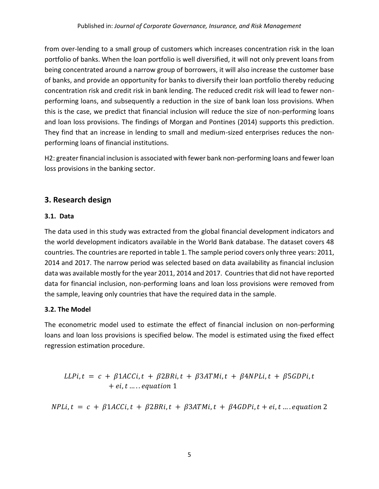from over-lending to a small group of customers which increases concentration risk in the loan portfolio of banks. When the loan portfolio is well diversified, it will not only prevent loans from being concentrated around a narrow group of borrowers, it will also increase the customer base of banks, and provide an opportunity for banks to diversify their loan portfolio thereby reducing concentration risk and credit risk in bank lending. The reduced credit risk will lead to fewer nonperforming loans, and subsequently a reduction in the size of bank loan loss provisions. When this is the case, we predict that financial inclusion will reduce the size of non-performing loans and loan loss provisions. The findings of Morgan and Pontines (2014) supports this prediction. They find that an increase in lending to small and medium-sized enterprises reduces the nonperforming loans of financial institutions.

H2: greater financial inclusion is associated with fewer bank non-performing loans and fewer loan loss provisions in the banking sector.

# **3. Research design**

## **3.1. Data**

The data used in this study was extracted from the global financial development indicators and the world development indicators available in the World Bank database. The dataset covers 48 countries. The countries are reported in table 1. The sample period covers only three years: 2011, 2014 and 2017. The narrow period was selected based on data availability as financial inclusion data was available mostly for the year 2011, 2014 and 2017. Countries that did not have reported data for financial inclusion, non-performing loans and loan loss provisions were removed from the sample, leaving only countries that have the required data in the sample.

# **3.2. The Model**

The econometric model used to estimate the effect of financial inclusion on non-performing loans and loan loss provisions is specified below. The model is estimated using the fixed effect regression estimation procedure.

$$
LLPi, t = c + \beta 1ACCi, t + \beta 2BRi, t + \beta 3ATMi, t + \beta 4NPLi, t + \beta 5GDPi, t + ei, t ....
$$
  
+ *equation* 1

 $NPLi, t = c + \beta 1ACCi, t + \beta 2BRi, t + \beta 3ATMi, t + \beta 4GDPi, t + ei, t ...$  equation 2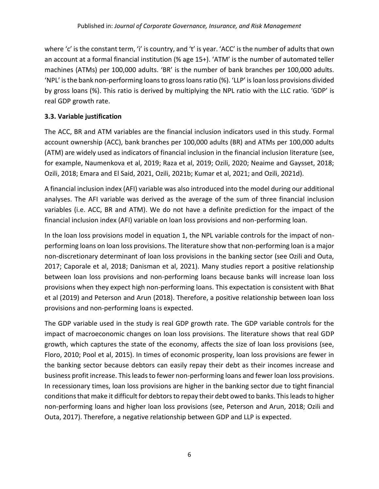where 'c' is the constant term, 'i' is country, and 't' is year. 'ACC' is the number of adults that own an account at a formal financial institution (% age 15+). 'ATM' is the number of automated teller machines (ATMs) per 100,000 adults. 'BR' is the number of bank branches per 100,000 adults. 'NPL' is the bank non-performing loans to gross loans ratio (%). 'LLP' is loan loss provisions divided by gross loans (%). This ratio is derived by multiplying the NPL ratio with the LLC ratio. 'GDP' is real GDP growth rate.

# **3.3. Variable justification**

The ACC, BR and ATM variables are the financial inclusion indicators used in this study. Formal account ownership (ACC), bank branches per 100,000 adults (BR) and ATMs per 100,000 adults (ATM) are widely used as indicators of financial inclusion in the financial inclusion literature (see, for example, Naumenkova et al, 2019; Raza et al, 2019; Ozili, 2020; Neaime and Gaysset, 2018; Ozili, 2018; Emara and El Said, 2021, Ozili, 2021b; Kumar et al, 2021; and Ozili, 2021d).

A financial inclusion index (AFI) variable was also introduced into the model during our additional analyses. The AFI variable was derived as the average of the sum of three financial inclusion variables (i.e. ACC, BR and ATM). We do not have a definite prediction for the impact of the financial inclusion index (AFI) variable on loan loss provisions and non-performing loan.

In the loan loss provisions model in equation 1, the NPL variable controls for the impact of nonperforming loans on loan loss provisions. The literature show that non-performing loan is a major non-discretionary determinant of loan loss provisions in the banking sector (see Ozili and Outa, 2017; Caporale et al, 2018; Danisman et al, 2021). Many studies report a positive relationship between loan loss provisions and non-performing loans because banks will increase loan loss provisions when they expect high non-performing loans. This expectation is consistent with Bhat et al (2019) and Peterson and Arun (2018). Therefore, a positive relationship between loan loss provisions and non-performing loans is expected.

The GDP variable used in the study is real GDP growth rate. The GDP variable controls for the impact of macroeconomic changes on loan loss provisions. The literature shows that real GDP growth, which captures the state of the economy, affects the size of loan loss provisions (see, Floro, 2010; Pool et al, 2015). In times of economic prosperity, loan loss provisions are fewer in the banking sector because debtors can easily repay their debt as their incomes increase and business profit increase. This leads to fewer non-performing loans and fewer loan loss provisions. In recessionary times, loan loss provisions are higher in the banking sector due to tight financial conditions that make it difficult for debtors to repay their debt owed to banks. This leads to higher non-performing loans and higher loan loss provisions (see, Peterson and Arun, 2018; Ozili and Outa, 2017). Therefore, a negative relationship between GDP and LLP is expected.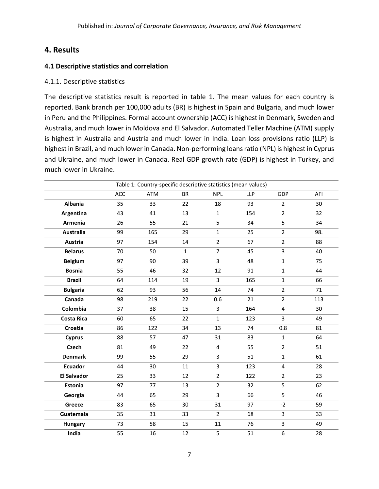# **4. Results**

## **4.1 Descriptive statistics and correlation**

#### 4.1.1. Descriptive statistics

The descriptive statistics result is reported in table 1. The mean values for each country is reported. Bank branch per 100,000 adults (BR) is highest in Spain and Bulgaria, and much lower in Peru and the Philippines. Formal account ownership (ACC) is highest in Denmark, Sweden and Australia, and much lower in Moldova and El Salvador. Automated Teller Machine (ATM) supply is highest in Australia and Austria and much lower in India. Loan loss provisions ratio (LLP) is highest in Brazil, and much lower in Canada. Non-performing loans ratio (NPL) is highest in Cyprus and Ukraine, and much lower in Canada. Real GDP growth rate (GDP) is highest in Turkey, and much lower in Ukraine.

|                    | Table 1: Country-specific descriptive statistics (mean values) |     |              |                |     |                |     |
|--------------------|----------------------------------------------------------------|-----|--------------|----------------|-----|----------------|-----|
|                    | ACC                                                            | ATM | <b>BR</b>    | <b>NPL</b>     | LLP | GDP            | AFI |
| <b>Albania</b>     | 35                                                             | 33  | 22           | 18             | 93  | $\overline{2}$ | 30  |
| Argentina          | 43                                                             | 41  | 13           | $\mathbf{1}$   | 154 | $\overline{2}$ | 32  |
| Armenia            | 26                                                             | 55  | 21           | 5              | 34  | 5              | 34  |
| <b>Australia</b>   | 99                                                             | 165 | 29           | $\mathbf{1}$   | 25  | $\overline{2}$ | 98. |
| Austria            | 97                                                             | 154 | 14           | $\overline{2}$ | 67  | $\overline{2}$ | 88  |
| <b>Belarus</b>     | 70                                                             | 50  | $\mathbf{1}$ | $\overline{7}$ | 45  | $\overline{3}$ | 40  |
| <b>Belgium</b>     | 97                                                             | 90  | 39           | 3              | 48  | $\mathbf{1}$   | 75  |
| <b>Bosnia</b>      | 55                                                             | 46  | 32           | 12             | 91  | $\mathbf{1}$   | 44  |
| <b>Brazil</b>      | 64                                                             | 114 | 19           | 3              | 165 | $\mathbf{1}$   | 66  |
| <b>Bulgaria</b>    | 62                                                             | 93  | 56           | 14             | 74  | $\overline{2}$ | 71  |
| Canada             | 98                                                             | 219 | 22           | 0.6            | 21  | $\overline{2}$ | 113 |
| Colombia           | 37                                                             | 38  | 15           | 3              | 164 | $\overline{4}$ | 30  |
| <b>Costa Rica</b>  | 60                                                             | 65  | 22           | $\mathbf{1}$   | 123 | $\overline{3}$ | 49  |
| Croatia            | 86                                                             | 122 | 34           | 13             | 74  | 0.8            | 81  |
| <b>Cyprus</b>      | 88                                                             | 57  | 47           | 31             | 83  | $\mathbf{1}$   | 64  |
| <b>Czech</b>       | 81                                                             | 49  | 22           | $\overline{4}$ | 55  | $\overline{2}$ | 51  |
| <b>Denmark</b>     | 99                                                             | 55  | 29           | 3              | 51  | $\mathbf{1}$   | 61  |
| <b>Ecuador</b>     | 44                                                             | 30  | 11           | 3              | 123 | $\overline{4}$ | 28  |
| <b>El Salvador</b> | 25                                                             | 33  | 12           | $\overline{2}$ | 122 | $\overline{2}$ | 23  |
| Estonia            | 97                                                             | 77  | 13           | $\overline{2}$ | 32  | 5              | 62  |
| Georgia            | 44                                                             | 65  | 29           | 3              | 66  | 5              | 46  |
| Greece             | 83                                                             | 65  | 30           | 31             | 97  | $-2$           | 59  |
| Guatemala          | 35                                                             | 31  | 33           | $\overline{2}$ | 68  | 3              | 33  |
| <b>Hungary</b>     | 73                                                             | 58  | 15           | 11             | 76  | $\overline{3}$ | 49  |
| India              | 55                                                             | 16  | 12           | 5              | 51  | 6              | 28  |
|                    |                                                                |     |              |                |     |                |     |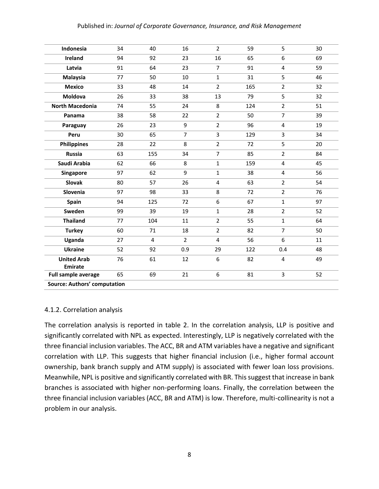#### Published in: *Journal of Corporate Governance, Insurance, and Risk Management*

| Indonesia                           | 34 | 40             | 16             | $\overline{2}$ | 59  | 5                       | 30 |
|-------------------------------------|----|----------------|----------------|----------------|-----|-------------------------|----|
| Ireland                             | 94 | 92             | 23             | 16             | 65  | 6                       | 69 |
| Latvia                              | 91 | 64             | 23             | $\overline{7}$ | 91  | 4                       | 59 |
| <b>Malaysia</b>                     | 77 | 50             | 10             | $\mathbf{1}$   | 31  | 5                       | 46 |
| <b>Mexico</b>                       | 33 | 48             | 14             | $\overline{2}$ | 165 | $\overline{2}$          | 32 |
| <b>Moldova</b>                      | 26 | 33             | 38             | 13             | 79  | 5                       | 32 |
| <b>North Macedonia</b>              | 74 | 55             | 24             | 8              | 124 | $\overline{2}$          | 51 |
| Panama                              | 38 | 58             | 22             | $\overline{2}$ | 50  | $\overline{7}$          | 39 |
| Paraguay                            | 26 | 23             | 9              | $\overline{2}$ | 96  | $\overline{\mathbf{4}}$ | 19 |
| Peru                                | 30 | 65             | $\overline{7}$ | 3              | 129 | 3                       | 34 |
| <b>Philippines</b>                  | 28 | 22             | 8              | $\overline{2}$ | 72  | 5                       | 20 |
| <b>Russia</b>                       | 63 | 155            | 34             | $\overline{7}$ | 85  | $\overline{2}$          | 84 |
| Saudi Arabia                        | 62 | 66             | 8              | $\mathbf{1}$   | 159 | $\overline{4}$          | 45 |
| Singapore                           | 97 | 62             | 9              | $\mathbf{1}$   | 38  | 4                       | 56 |
| <b>Slovak</b>                       | 80 | 57             | 26             | 4              | 63  | $\overline{2}$          | 54 |
| Slovenia                            | 97 | 98             | 33             | 8              | 72  | $\overline{2}$          | 76 |
| Spain                               | 94 | 125            | 72             | 6              | 67  | $\mathbf{1}$            | 97 |
| Sweden                              | 99 | 39             | 19             | $\mathbf{1}$   | 28  | $\overline{2}$          | 52 |
| <b>Thailand</b>                     | 77 | 104            | 11             | $\overline{2}$ | 55  | $\mathbf{1}$            | 64 |
| <b>Turkey</b>                       | 60 | 71             | 18             | $\overline{2}$ | 82  | $\overline{7}$          | 50 |
| Uganda                              | 27 | $\overline{4}$ | $\overline{2}$ | $\overline{4}$ | 56  | 6                       | 11 |
| <b>Ukraine</b>                      | 52 | 92             | 0.9            | 29             | 122 | 0.4                     | 48 |
| <b>United Arab</b>                  | 76 | 61             | 12             | 6              | 82  | 4                       | 49 |
| <b>Emirate</b>                      |    |                |                |                |     |                         |    |
| <b>Full sample average</b>          | 65 | 69             | 21             | 6              | 81  | 3                       | 52 |
| <b>Source: Authors' computation</b> |    |                |                |                |     |                         |    |

#### 4.1.2. Correlation analysis

The correlation analysis is reported in table 2. In the correlation analysis, LLP is positive and significantly correlated with NPL as expected. Interestingly, LLP is negatively correlated with the three financial inclusion variables. The ACC, BR and ATM variables have a negative and significant correlation with LLP. This suggests that higher financial inclusion (i.e., higher formal account ownership, bank branch supply and ATM supply) is associated with fewer loan loss provisions. Meanwhile, NPL is positive and significantly correlated with BR. This suggest that increase in bank branches is associated with higher non-performing loans. Finally, the correlation between the three financial inclusion variables (ACC, BR and ATM) is low. Therefore, multi-collinearity is not a problem in our analysis.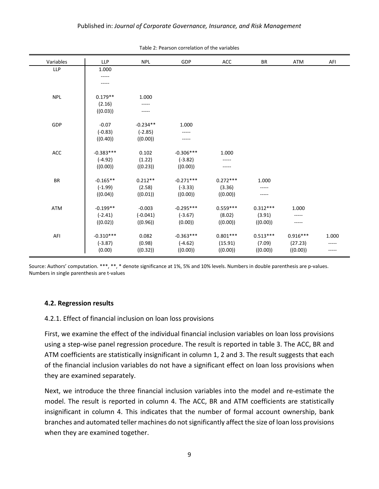| Variables  | <b>LLP</b>  | <b>NPL</b> | GDP         | <b>ACC</b> | <b>BR</b>  | ATM        | AFI   |
|------------|-------------|------------|-------------|------------|------------|------------|-------|
| <b>LLP</b> | 1.000       |            |             |            |            |            |       |
|            | -----       |            |             |            |            |            |       |
|            |             |            |             |            |            |            |       |
|            |             |            |             |            |            |            |       |
| <b>NPL</b> | $0.179**$   | 1.000      |             |            |            |            |       |
|            | (2.16)      |            |             |            |            |            |       |
|            | ((0.03))    | -----      |             |            |            |            |       |
|            |             |            |             |            |            |            |       |
| GDP        | $-0.07$     | $-0.234**$ | 1.000       |            |            |            |       |
|            | $(-0.83)$   | $(-2.85)$  | -----       |            |            |            |       |
|            | ((0.40))    | ((0.00))   | -----       |            |            |            |       |
|            |             |            |             |            |            |            |       |
| ACC        | $-0.383***$ | 0.102      | $-0.306***$ | 1.000      |            |            |       |
|            | $(-4.92)$   | (1.22)     | $(-3.82)$   | -----      |            |            |       |
|            | ((0.00))    | ((0.23))   | ((0.00))    |            |            |            |       |
|            |             |            |             |            |            |            |       |
| BR         | $-0.165**$  | $0.212**$  | $-0.271***$ | $0.272***$ | 1.000      |            |       |
|            | $(-1.99)$   | (2.58)     | $(-3.33)$   | (3.36)     | -----      |            |       |
|            | ((0.04))    | ((0.01))   | ((0.00))    | ((0.00))   |            |            |       |
|            |             |            |             |            |            |            |       |
| ATM        | $-0.199**$  | $-0.003$   | $-0.295***$ | $0.559***$ | $0.312***$ | 1.000      |       |
|            | $(-2.41)$   | $(-0.041)$ | $(-3.67)$   | (8.02)     | (3.91)     | -----      |       |
|            | ((0.02))    | ((0.96))   | (0.00)      | ((0.00))   | ((0.00))   | -----      |       |
|            |             |            |             |            |            |            |       |
| AFI        | $-0.310***$ | 0.082      | $-0.363***$ | $0.801***$ | $0.513***$ | $0.916***$ | 1.000 |
|            | $(-3.87)$   | (0.98)     | $(-4.62)$   | (15.91)    | (7.09)     | (27.23)    | ----- |
|            | (0.00)      | ((0.32))   | ((0.00))    | ((0.00))   | ((0.00))   | ((0.00))   | ----- |

Source: Authors' computation. \*\*\*, \*\*, \* denote significance at 1%, 5% and 10% levels. Numbers in double parenthesis are p-values. Numbers in single parenthesis are t-values

#### **4.2. Regression results**

#### 4.2.1. Effect of financial inclusion on loan loss provisions

First, we examine the effect of the individual financial inclusion variables on loan loss provisions using a step-wise panel regression procedure. The result is reported in table 3. The ACC, BR and ATM coefficients are statistically insignificant in column 1, 2 and 3. The result suggests that each of the financial inclusion variables do not have a significant effect on loan loss provisions when they are examined separately.

Next, we introduce the three financial inclusion variables into the model and re-estimate the model. The result is reported in column 4. The ACC, BR and ATM coefficients are statistically insignificant in column 4. This indicates that the number of formal account ownership, bank branches and automated teller machines do not significantly affect the size of loan loss provisions when they are examined together.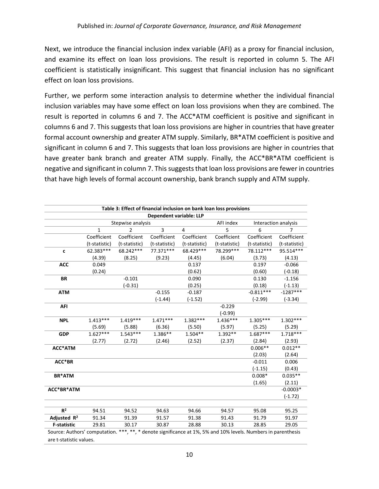Next, we introduce the financial inclusion index variable (AFI) as a proxy for financial inclusion, and examine its effect on loan loss provisions. The result is reported in column 5. The AFI coefficient is statistically insignificant. This suggest that financial inclusion has no significant effect on loan loss provisions.

Further, we perform some interaction analysis to determine whether the individual financial inclusion variables may have some effect on loan loss provisions when they are combined. The result is reported in columns 6 and 7. The ACC\*ATM coefficient is positive and significant in columns 6 and 7. This suggests that loan loss provisions are higher in countries that have greater formal account ownership and greater ATM supply. Similarly, BR\*ATM coefficient is positive and significant in column 6 and 7. This suggests that loan loss provisions are higher in countries that have greater bank branch and greater ATM supply. Finally, the ACC\*BR\*ATM coefficient is negative and significant in column 7. This suggests that loan loss provisions are fewer in countries that have high levels of formal account ownership, bank branch supply and ATM supply.

| Dependent variable: LLP |               |                   |               |                |                      |               |                |
|-------------------------|---------------|-------------------|---------------|----------------|----------------------|---------------|----------------|
|                         |               | Stepwise analysis |               | AFI index      | Interaction analysis |               |                |
|                         | $\mathbf{1}$  | $\overline{2}$    | 3             | $\overline{4}$ | 5                    | 6             | $\overline{7}$ |
|                         | Coefficient   | Coefficient       | Coefficient   | Coefficient    | Coefficient          | Coefficient   | Coefficient    |
|                         | (t-statistic) | (t-statistic)     | (t-statistic) | (t-statistic)  | (t-statistic)        | (t-statistic) | (t-statistic)  |
| C                       | 62.383***     | 68.242***         | 77.371***     | 68.429 ***     | 78.299***            | 78.112***     | 95.514***      |
|                         | (4.39)        | (8.25)            | (9.23)        | (4.45)         | (6.04)               | (3.73)        | (4.13)         |
| <b>ACC</b>              | 0.049         |                   |               | 0.137          |                      | 0.197         | $-0.066$       |
|                         | (0.24)        |                   |               | (0.62)         |                      | (0.60)        | $(-0.18)$      |
| <b>BR</b>               |               | $-0.101$          |               | 0.090          |                      | 0.130         | $-1.156$       |
|                         |               | $(-0.31)$         |               | (0.25)         |                      | (0.18)        | $(-1.13)$      |
| <b>ATM</b>              |               |                   | $-0.155$      | $-0.187$       |                      | $-0.811***$   | $-1287***$     |
|                         |               |                   | $(-1.44)$     | $(-1.52)$      |                      | $(-2.99)$     | $(-3.34)$      |
| <b>AFI</b>              |               |                   |               |                | $-0.229$             |               |                |
|                         |               |                   |               |                | $(-0.99)$            |               |                |
| <b>NPL</b>              | $1.413***$    | $1.419***$        | $1.471***$    | $1.382***$     | $1.436***$           | $1.305***$    | $1.302***$     |
|                         | (5.69)        | (5.88)            | (6.36)        | (5.50)         | (5.97)               | (5.25)        | (5.29)         |
| <b>GDP</b>              | $1.627***$    | $1.543***$        | $1.386**$     | $1.504**$      | $1.392**$            | $1.687***$    | $1.718***$     |
|                         | (2.77)        | (2.72)            | (2.46)        | (2.52)         | (2.37)               | (2.84)        | (2.93)         |
| <b>ACC*ATM</b>          |               |                   |               |                |                      | $0.006**$     | $0.012**$      |
|                         |               |                   |               |                |                      | (2.03)        | (2.64)         |
| ACC*BR                  |               |                   |               |                |                      | $-0.011$      | 0.006          |
|                         |               |                   |               |                |                      | $(-1.15)$     | (0.43)         |
| <b>BR*ATM</b>           |               |                   |               |                |                      | $0.008*$      | $0.035**$      |
|                         |               |                   |               |                |                      | (1.65)        | (2.11)         |
| ACC*BR*ATM              |               |                   |               |                |                      |               | $-0.0003*$     |
|                         |               |                   |               |                |                      |               | $(-1.72)$      |
|                         |               |                   |               |                |                      |               |                |
| R <sup>2</sup>          | 94.51         | 94.52             | 94.63         | 94.66          | 94.57                | 95.08         | 95.25          |
| Adjusted R <sup>2</sup> | 91.34         | 91.39             | 91.57         | 91.38          | 91.43                | 91.79         | 91.97          |
| <b>F-statistic</b>      | 29.81         | 30.17             | 30.87         | 28.88          | 30.13                | 28.85         | 29.05          |

<sup>10</sup>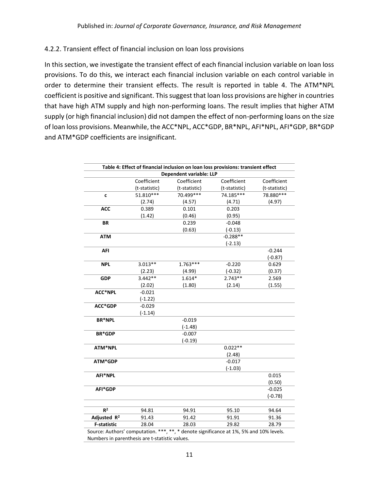## 4.2.2. Transient effect of financial inclusion on loan loss provisions

In this section, we investigate the transient effect of each financial inclusion variable on loan loss provisions. To do this, we interact each financial inclusion variable on each control variable in order to determine their transient effects. The result is reported in table 4. The ATM\*NPL coefficient is positive and significant. This suggest that loan loss provisions are higher in countries that have high ATM supply and high non-performing loans. The result implies that higher ATM supply (or high financial inclusion) did not dampen the effect of non-performing loans on the size of loan loss provisions. Meanwhile, the ACC\*NPL, ACC\*GDP, BR\*NPL, AFI\*NPL, AFI\*GDP, BR\*GDP and ATM\*GDP coefficients are insignificant.

| Table 4: Effect of financial inclusion on loan loss provisions: transient effect       |               |               |               |               |  |  |  |
|----------------------------------------------------------------------------------------|---------------|---------------|---------------|---------------|--|--|--|
| Dependent variable: LLP                                                                |               |               |               |               |  |  |  |
|                                                                                        | Coefficient   | Coefficient   | Coefficient   | Coefficient   |  |  |  |
|                                                                                        | (t-statistic) | (t-statistic) | (t-statistic) | (t-statistic) |  |  |  |
| C                                                                                      | 51.810***     | 70.499 ***    | 74.185***     | 78.880 ***    |  |  |  |
|                                                                                        | (2.74)        | (4.57)        | (4.71)        | (4.97)        |  |  |  |
| <b>ACC</b>                                                                             | 0.389         | 0.101         | 0.203         |               |  |  |  |
|                                                                                        | (1.42)        | (0.46)        | (0.95)        |               |  |  |  |
| <b>BR</b>                                                                              |               | 0.239         | $-0.048$      |               |  |  |  |
|                                                                                        |               | (0.63)        | $(-0.13)$     |               |  |  |  |
| <b>ATM</b>                                                                             |               |               | $-0.288**$    |               |  |  |  |
|                                                                                        |               |               | $(-2.13)$     |               |  |  |  |
| AFI                                                                                    |               |               |               | $-0.244$      |  |  |  |
|                                                                                        |               |               |               | $(-0.87)$     |  |  |  |
| <b>NPL</b>                                                                             | $3.013**$     | $1.763***$    | $-0.220$      | 0.629         |  |  |  |
|                                                                                        | (2.23)        | (4.99)        | $(-0.32)$     | (0.37)        |  |  |  |
| <b>GDP</b>                                                                             | $3.442**$     | $1.614*$      | $2.743**$     | 2.569         |  |  |  |
|                                                                                        | (2.02)        | (1.80)        | (2.14)        | (1.55)        |  |  |  |
| <b>ACC*NPL</b>                                                                         | $-0.021$      |               |               |               |  |  |  |
|                                                                                        | $(-1.22)$     |               |               |               |  |  |  |
| <b>ACC*GDP</b>                                                                         | $-0.029$      |               |               |               |  |  |  |
|                                                                                        | $(-1.14)$     |               |               |               |  |  |  |
| <b>BR*NPL</b>                                                                          |               | $-0.019$      |               |               |  |  |  |
|                                                                                        |               | $(-1.48)$     |               |               |  |  |  |
| <b>BR*GDP</b>                                                                          |               | $-0.007$      |               |               |  |  |  |
|                                                                                        |               | $(-0.19)$     |               |               |  |  |  |
| ATM*NPL                                                                                |               |               | $0.022**$     |               |  |  |  |
|                                                                                        |               |               | (2.48)        |               |  |  |  |
| ATM*GDP                                                                                |               |               | $-0.017$      |               |  |  |  |
|                                                                                        |               |               | $(-1.03)$     |               |  |  |  |
| AFI*NPL                                                                                |               |               |               | 0.015         |  |  |  |
|                                                                                        |               |               |               | (0.50)        |  |  |  |
| AFI*GDP                                                                                |               |               |               | $-0.025$      |  |  |  |
|                                                                                        |               |               |               | $(-0.78)$     |  |  |  |
|                                                                                        |               |               |               |               |  |  |  |
| R <sup>2</sup>                                                                         | 94.81         | 94.91         | 95.10         | 94.64         |  |  |  |
| Adjusted R <sup>2</sup>                                                                | 91.43         | 91.42         | 91.91         | 91.36         |  |  |  |
| <b>F-statistic</b>                                                                     | 28.04         | 28.03         | 29.82         | 28.79         |  |  |  |
| Source: Authors' computation. ***, **, * denote significance at 1%, 5% and 10% levels. |               |               |               |               |  |  |  |

Numbers in parenthesis are t-statistic values.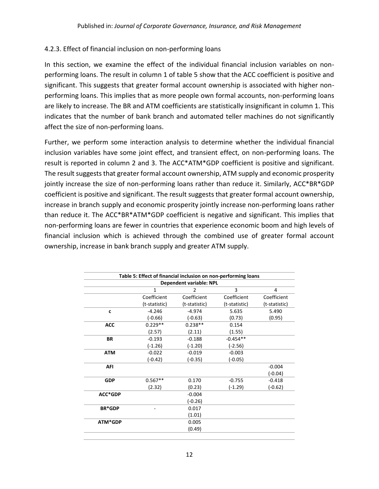# 4.2.3. Effect of financial inclusion on non-performing loans

In this section, we examine the effect of the individual financial inclusion variables on nonperforming loans. The result in column 1 of table 5 show that the ACC coefficient is positive and significant. This suggests that greater formal account ownership is associated with higher nonperforming loans. This implies that as more people own formal accounts, non-performing loans are likely to increase. The BR and ATM coefficients are statistically insignificant in column 1. This indicates that the number of bank branch and automated teller machines do not significantly affect the size of non-performing loans.

Further, we perform some interaction analysis to determine whether the individual financial inclusion variables have some joint effect, and transient effect, on non-performing loans. The result is reported in column 2 and 3. The ACC\*ATM\*GDP coefficient is positive and significant. The result suggests that greater formal account ownership, ATM supply and economic prosperity jointly increase the size of non-performing loans rather than reduce it. Similarly, ACC\*BR\*GDP coefficient is positive and significant. The result suggests that greater formal account ownership, increase in branch supply and economic prosperity jointly increase non-performing loans rather than reduce it. The ACC\*BR\*ATM\*GDP coefficient is negative and significant. This implies that non-performing loans are fewer in countries that experience economic boom and high levels of financial inclusion which is achieved through the combined use of greater formal account ownership, increase in bank branch supply and greater ATM supply.

|                         |               | Table 5: Effect of financial inclusion on non-performing loans |               |               |  |  |  |  |
|-------------------------|---------------|----------------------------------------------------------------|---------------|---------------|--|--|--|--|
| Dependent variable: NPL |               |                                                                |               |               |  |  |  |  |
|                         | $\mathbf{1}$  | $\overline{2}$                                                 | 3             | 4             |  |  |  |  |
|                         | Coefficient   | Coefficient                                                    | Coefficient   | Coefficient   |  |  |  |  |
|                         | (t-statistic) | (t-statistic)                                                  | (t-statistic) | (t-statistic) |  |  |  |  |
| C                       | $-4.246$      | $-4.974$                                                       | 5.635         | 5.490         |  |  |  |  |
|                         | $(-0.66)$     | $(-0.63)$                                                      | (0.73)        | (0.95)        |  |  |  |  |
| <b>ACC</b>              | $0.229**$     | $0.238**$                                                      | 0.154         |               |  |  |  |  |
|                         | (2.57)        | (2.11)                                                         | (1.55)        |               |  |  |  |  |
| <b>BR</b>               | $-0.193$      | $-0.188$                                                       | $-0.454**$    |               |  |  |  |  |
|                         | $(-1.26)$     | $(-1.20)$                                                      | $(-2.56)$     |               |  |  |  |  |
| <b>ATM</b>              | $-0.022$      | $-0.019$                                                       | $-0.003$      |               |  |  |  |  |
|                         | $(-0.42)$     | $(-0.35)$                                                      | $(-0.05)$     |               |  |  |  |  |
| <b>AFI</b>              |               |                                                                |               | $-0.004$      |  |  |  |  |
|                         |               |                                                                |               | $(-0.04)$     |  |  |  |  |
| <b>GDP</b>              | $0.567**$     | 0.170                                                          | $-0.755$      | $-0.418$      |  |  |  |  |
|                         | (2.32)        | (0.23)                                                         | $(-1.29)$     | $(-0.62)$     |  |  |  |  |
| ACC*GDP                 |               | $-0.004$                                                       |               |               |  |  |  |  |
|                         |               | $(-0.26)$                                                      |               |               |  |  |  |  |
| <b>BR*GDP</b>           |               | 0.017                                                          |               |               |  |  |  |  |
|                         |               | (1.01)                                                         |               |               |  |  |  |  |
| ATM*GDP                 |               | 0.005                                                          |               |               |  |  |  |  |
|                         |               | (0.49)                                                         |               |               |  |  |  |  |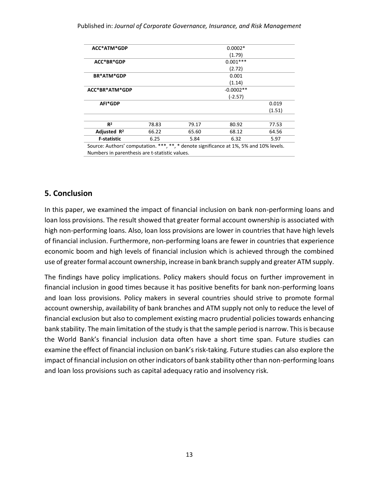#### Published in: *Journal of Corporate Governance, Insurance, and Risk Management*

| ACC*ATM*GDP             |       |                      | $0.0002*$   |        |  |  |
|-------------------------|-------|----------------------|-------------|--------|--|--|
|                         |       |                      | (1.79)      |        |  |  |
| ACC*BR*GDP              |       |                      | $0.001***$  |        |  |  |
|                         |       |                      | (2.72)      |        |  |  |
| <b>BR*ATM*GDP</b>       |       |                      | 0.001       |        |  |  |
|                         |       |                      | (1.14)      |        |  |  |
| ACC*BR*ATM*GDP          |       |                      | $-0.0002**$ |        |  |  |
|                         |       |                      | $(-2.57)$   |        |  |  |
| AFI*GDP                 |       |                      |             | 0.019  |  |  |
|                         |       |                      |             | (1.51) |  |  |
| R <sup>2</sup>          | 78.83 | 79.17                | 80.92       | 77.53  |  |  |
| Adjusted R <sup>2</sup> | 66.22 | 65.60                | 68.12       | 64.56  |  |  |
| <b>F-statistic</b>      | 6.25  | 6.32<br>5.84<br>5.97 |             |        |  |  |

Source: Authors' computation. \*\*\*, \*\*, \* denote significance at 1%, 5% and 10% levels. Numbers in parenthesis are t-statistic values.

## **5. Conclusion**

In this paper, we examined the impact of financial inclusion on bank non-performing loans and loan loss provisions. The result showed that greater formal account ownership is associated with high non-performing loans. Also, loan loss provisions are lower in countries that have high levels of financial inclusion. Furthermore, non-performing loans are fewer in countries that experience economic boom and high levels of financial inclusion which is achieved through the combined use of greater formal account ownership, increase in bank branch supply and greater ATM supply.

The findings have policy implications. Policy makers should focus on further improvement in financial inclusion in good times because it has positive benefits for bank non-performing loans and loan loss provisions. Policy makers in several countries should strive to promote formal account ownership, availability of bank branches and ATM supply not only to reduce the level of financial exclusion but also to complement existing macro prudential policies towards enhancing bank stability. The main limitation of the study is that the sample period is narrow. This is because the World Bank's financial inclusion data often have a short time span. Future studies can examine the effect of financial inclusion on bank's risk-taking. Future studies can also explore the impact of financial inclusion on other indicators of bank stability other than non-performing loans and loan loss provisions such as capital adequacy ratio and insolvency risk.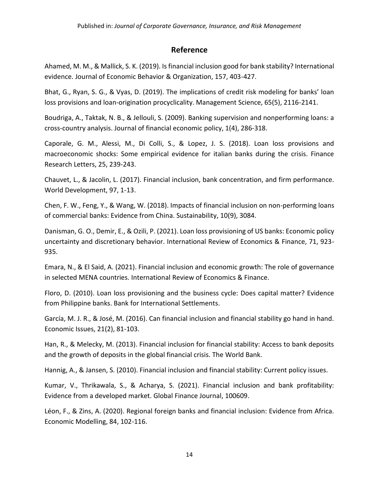# **Reference**

Ahamed, M. M., & Mallick, S. K. (2019). Is financial inclusion good for bank stability? International evidence. Journal of Economic Behavior & Organization, 157, 403-427.

Bhat, G., Ryan, S. G., & Vyas, D. (2019). The implications of credit risk modeling for banks' loan loss provisions and loan-origination procyclicality. Management Science, 65(5), 2116-2141.

Boudriga, A., Taktak, N. B., & Jellouli, S. (2009). Banking supervision and nonperforming loans: a cross‐country analysis. Journal of financial economic policy, 1(4), 286-318.

Caporale, G. M., Alessi, M., Di Colli, S., & Lopez, J. S. (2018). Loan loss provisions and macroeconomic shocks: Some empirical evidence for italian banks during the crisis. Finance Research Letters, 25, 239-243.

Chauvet, L., & Jacolin, L. (2017). Financial inclusion, bank concentration, and firm performance. World Development, 97, 1-13.

Chen, F. W., Feng, Y., & Wang, W. (2018). Impacts of financial inclusion on non-performing loans of commercial banks: Evidence from China. Sustainability, 10(9), 3084.

Danisman, G. O., Demir, E., & Ozili, P. (2021). Loan loss provisioning of US banks: Economic policy uncertainty and discretionary behavior. International Review of Economics & Finance, 71, 923- 935.

Emara, N., & El Said, A. (2021). Financial inclusion and economic growth: The role of governance in selected MENA countries. International Review of Economics & Finance.

Floro, D. (2010). Loan loss provisioning and the business cycle: Does capital matter? Evidence from Philippine banks. Bank for International Settlements.

García, M. J. R., & José, M. (2016). Can financial inclusion and financial stability go hand in hand. Economic Issues, 21(2), 81-103.

Han, R., & Melecky, M. (2013). Financial inclusion for financial stability: Access to bank deposits and the growth of deposits in the global financial crisis. The World Bank.

Hannig, A., & Jansen, S. (2010). Financial inclusion and financial stability: Current policy issues.

Kumar, V., Thrikawala, S., & Acharya, S. (2021). Financial inclusion and bank profitability: Evidence from a developed market. Global Finance Journal, 100609.

Léon, F., & Zins, A. (2020). Regional foreign banks and financial inclusion: Evidence from Africa. Economic Modelling, 84, 102-116.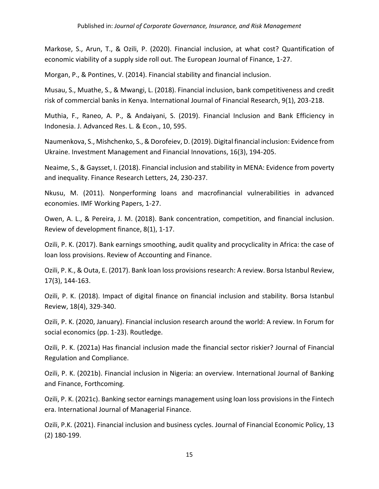Markose, S., Arun, T., & Ozili, P. (2020). Financial inclusion, at what cost? Quantification of economic viability of a supply side roll out. The European Journal of Finance, 1-27.

Morgan, P., & Pontines, V. (2014). Financial stability and financial inclusion.

Musau, S., Muathe, S., & Mwangi, L. (2018). Financial inclusion, bank competitiveness and credit risk of commercial banks in Kenya. International Journal of Financial Research, 9(1), 203-218.

Muthia, F., Raneo, A. P., & Andaiyani, S. (2019). Financial Inclusion and Bank Efficiency in Indonesia. J. Advanced Res. L. & Econ., 10, 595.

Naumenkova, S., Mishchenko, S., & Dorofeiev, D. (2019). Digital financial inclusion: Evidence from Ukraine. Investment Management and Financial Innovations, 16(3), 194-205.

Neaime, S., & Gaysset, I. (2018). Financial inclusion and stability in MENA: Evidence from poverty and inequality. Finance Research Letters, 24, 230-237.

Nkusu, M. (2011). Nonperforming loans and macrofinancial vulnerabilities in advanced economies. IMF Working Papers, 1-27.

Owen, A. L., & Pereira, J. M. (2018). Bank concentration, competition, and financial inclusion. Review of development finance, 8(1), 1-17.

Ozili, P. K. (2017). Bank earnings smoothing, audit quality and procyclicality in Africa: the case of loan loss provisions. Review of Accounting and Finance.

Ozili, P. K., & Outa, E. (2017). Bank loan loss provisions research: A review. Borsa Istanbul Review, 17(3), 144-163.

Ozili, P. K. (2018). Impact of digital finance on financial inclusion and stability. Borsa Istanbul Review, 18(4), 329-340.

Ozili, P. K. (2020, January). Financial inclusion research around the world: A review. In Forum for social economics (pp. 1-23). Routledge.

Ozili, P. K. (2021a) Has financial inclusion made the financial sector riskier? Journal of Financial Regulation and Compliance.

Ozili, P. K. (2021b). Financial inclusion in Nigeria: an overview. International Journal of Banking and Finance, Forthcoming.

Ozili, P. K. (2021c). Banking sector earnings management using loan loss provisions in the Fintech era. International Journal of Managerial Finance.

Ozili, P.K. (2021). Financial inclusion and business cycles. Journal of Financial Economic Policy, 13 (2) 180-199.